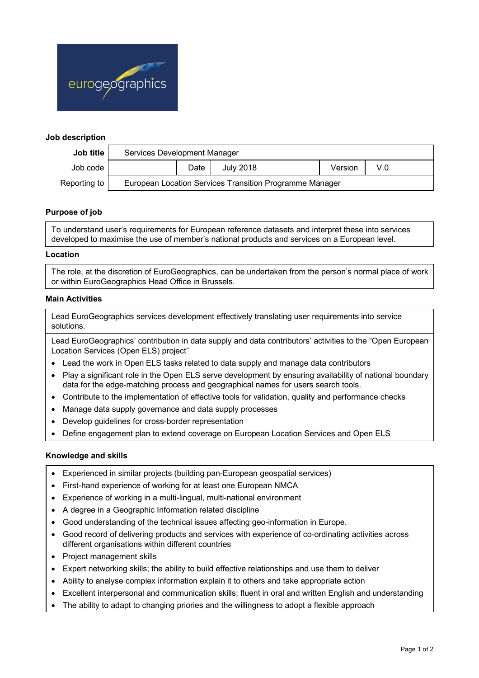

## **Job description**

| Job title    | Services Development Manager                            |      |                  |         |              |  |
|--------------|---------------------------------------------------------|------|------------------|---------|--------------|--|
| Job code     |                                                         | Date | <b>July 2018</b> | Version | $V_{\cdot}0$ |  |
| Reporting to | European Location Services Transition Programme Manager |      |                  |         |              |  |

# **Purpose of job**

To understand user's requirements for European reference datasets and interpret these into services developed to maximise the use of member's national products and services on a European level.

### **Location**

The role, at the discretion of EuroGeographics, can be undertaken from the person's normal place of work or within EuroGeographics Head Office in Brussels.

### **Main Activities**

Lead EuroGeographics services development effectively translating user requirements into service solutions.

Lead EuroGeographics' contribution in data supply and data contributors' activities to the "Open European Location Services (Open ELS) project"

- Lead the work in Open ELS tasks related to data supply and manage data contributors
- Play a significant role in the Open ELS serve development by ensuring availability of national boundary data for the edge-matching process and geographical names for users search tools.
- Contribute to the implementation of effective tools for validation, quality and performance checks
- Manage data supply governance and data supply processes
- Develop guidelines for cross-border representation
- Define engagement plan to extend coverage on European Location Services and Open ELS

### **Knowledge and skills**

- Experienced in similar projects (building pan-European geospatial services)
- First-hand experience of working for at least one European NMCA
- Experience of working in a multi-lingual, multi-national environment
- A degree in a Geographic Information related discipline
- Good understanding of the technical issues affecting geo-information in Europe.
- Good record of delivering products and services with experience of co-ordinating activities across different organisations within different countries
- Project management skills
- Expert networking skills; the ability to build effective relationships and use them to deliver
- Ability to analyse complex information explain it to others and take appropriate action
- Excellent interpersonal and communication skills; fluent in oral and written English and understanding
- The ability to adapt to changing priories and the willingness to adopt a flexible approach